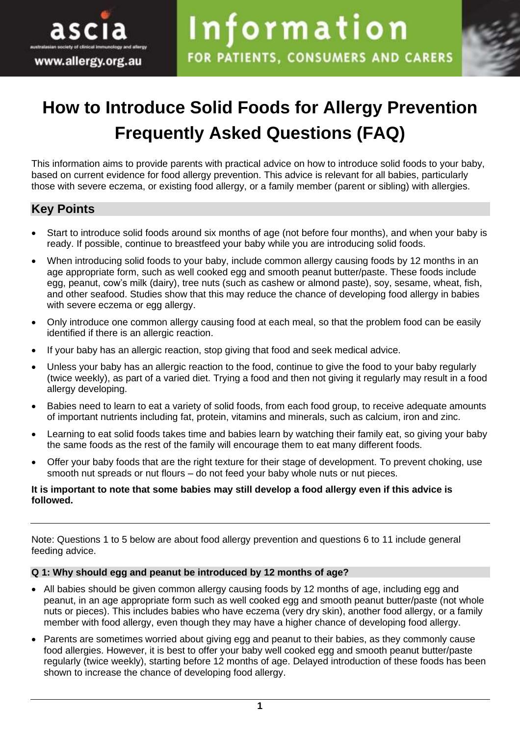



# **How to Introduce Solid Foods for Allergy Prevention Frequently Asked Questions (FAQ)**

This information aims to provide parents with practical advice on how to introduce solid foods to your baby, based on current evidence for food allergy prevention. This advice is relevant for all babies, particularly those with severe eczema, or existing food allergy, or a family member (parent or sibling) with allergies.

# **Key Points**

- Start to introduce solid foods around six months of age (not before four months), and when your baby is ready. If possible, continue to breastfeed your baby while you are introducing solid foods.
- When introducing solid foods to your baby, include common allergy causing foods by 12 months in an age appropriate form, such as well cooked egg and smooth peanut butter/paste. These foods include egg, peanut, cow's milk (dairy), tree nuts (such as cashew or almond paste), soy, sesame, wheat, fish, and other seafood. Studies show that this may reduce the chance of developing food allergy in babies with severe eczema or egg allergy.
- Only introduce one common allergy causing food at each meal, so that the problem food can be easily identified if there is an allergic reaction.
- If your baby has an allergic reaction, stop giving that food and seek medical advice.
- Unless your baby has an allergic reaction to the food, continue to give the food to your baby regularly (twice weekly), as part of a varied diet. Trying a food and then not giving it regularly may result in a food allergy developing.
- Babies need to learn to eat a variety of solid foods, from each food group, to receive adequate amounts of important nutrients including fat, protein, vitamins and minerals, such as calcium, iron and zinc.
- Learning to eat solid foods takes time and babies learn by watching their family eat, so giving your baby the same foods as the rest of the family will encourage them to eat many different foods.
- Offer your baby foods that are the right texture for their stage of development. To prevent choking, use smooth nut spreads or nut flours – do not feed your baby whole nuts or nut pieces.

#### **It is important to note that some babies may still develop a food allergy even if this advice is followed.**

Note: Questions 1 to 5 below are about food allergy prevention and questions 6 to 11 include general feeding advice.

# **Q 1: Why should egg and peanut be introduced by 12 months of age?**

- All babies should be given common allergy causing foods by 12 months of age, including egg and peanut, in an age appropriate form such as well cooked egg and smooth peanut butter/paste (not whole nuts or pieces). This includes babies who have eczema (very dry skin), another food allergy, or a family member with food allergy, even though they may have a higher chance of developing food allergy.
- Parents are sometimes worried about giving egg and peanut to their babies, as they commonly cause food allergies. However, it is best to offer your baby well cooked egg and smooth peanut butter/paste regularly (twice weekly), starting before 12 months of age. Delayed introduction of these foods has been shown to increase the chance of developing food allergy.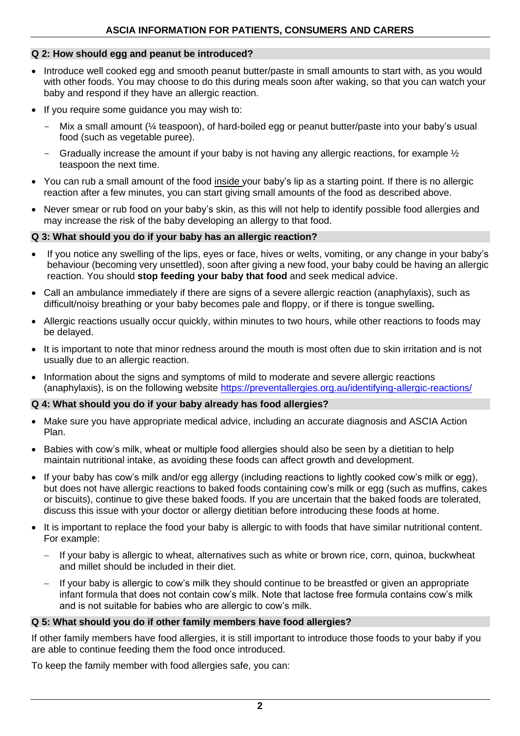# **Q 2: How should egg and peanut be introduced?**

- Introduce well cooked egg and smooth peanut butter/paste in small amounts to start with, as you would with other foods. You may choose to do this during meals soon after waking, so that you can watch your baby and respond if they have an allergic reaction.
- If you require some guidance you may wish to:
	- Mix a small amount ( $\frac{1}{4}$  teaspoon), of hard-boiled egg or peanut butter/paste into your baby's usual food (such as vegetable puree).
	- Gradually increase the amount if your baby is not having any allergic reactions, for example  $\frac{1}{2}$ teaspoon the next time.
- You can rub a small amount of the food inside your baby's lip as a starting point. If there is no allergic reaction after a few minutes, you can start giving small amounts of the food as described above.
- Never smear or rub food on your baby's skin, as this will not help to identify possible food allergies and may increase the risk of the baby developing an allergy to that food.

#### **Q 3: What should you do if your baby has an allergic reaction?**

- If you notice any swelling of the lips, eyes or face, hives or welts, vomiting, or any change in your baby's behaviour (becoming very unsettled), soon after giving a new food, your baby could be having an allergic reaction. You should **stop feeding your baby that food** and seek medical advice.
- Call an ambulance immediately if there are signs of a severe allergic reaction (anaphylaxis), such as difficult/noisy breathing or your baby becomes pale and floppy, or if there is tongue swelling**.**
- Allergic reactions usually occur quickly, within minutes to two hours, while other reactions to foods may be delayed.
- It is important to note that minor redness around the mouth is most often due to skin irritation and is not usually due to an allergic reaction.
- Information about the signs and symptoms of mild to moderate and severe allergic reactions (anaphylaxis), is on the following website <https://preventallergies.org.au/identifying-allergic-reactions/>

# **Q 4: What should you do if your baby already has food allergies?**

- Make sure you have appropriate medical advice, including an accurate diagnosis and ASCIA Action Plan.
- Babies with cow's milk, wheat or multiple food allergies should also be seen by a dietitian to help maintain nutritional intake, as avoiding these foods can affect growth and development.
- If your baby has cow's milk and/or egg allergy (including reactions to lightly cooked cow's milk or egg), but does not have allergic reactions to baked foods containing cow's milk or egg (such as muffins, cakes or biscuits), continue to give these baked foods. If you are uncertain that the baked foods are tolerated, discuss this issue with your doctor or allergy dietitian before introducing these foods at home.
- It is important to replace the food your baby is allergic to with foods that have similar nutritional content. For example:
	- If your baby is allergic to wheat, alternatives such as white or brown rice, corn, quinoa, buckwheat and millet should be included in their diet.
	- If your baby is allergic to cow's milk they should continue to be breastfed or given an appropriate infant formula that does not contain cow's milk. Note that lactose free formula contains cow's milk and is not suitable for babies who are allergic to cow's milk.

#### **Q 5: What should you do if other family members have food allergies?**

If other family members have food allergies, it is still important to introduce those foods to your baby if you are able to continue feeding them the food once introduced.

To keep the family member with food allergies safe, you can: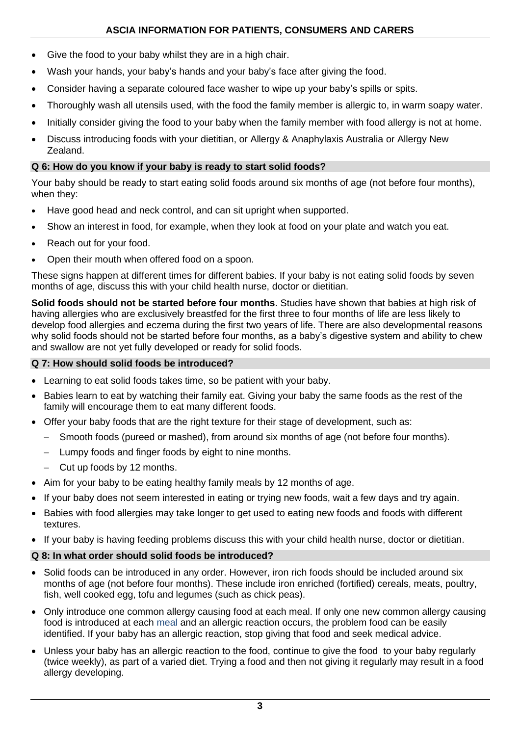- Give the food to your baby whilst they are in a high chair.
- Wash your hands, your baby's hands and your baby's face after giving the food.
- Consider having a separate coloured face washer to wipe up your baby's spills or spits.
- Thoroughly wash all utensils used, with the food the family member is allergic to, in warm soapy water.
- Initially consider giving the food to your baby when the family member with food allergy is not at home.
- Discuss introducing foods with your dietitian, or Allergy & Anaphylaxis Australia or Allergy New Zealand.

# **Q 6: How do you know if your baby is ready to start solid foods?**

Your baby should be ready to start eating solid foods around six months of age (not before four months), when they:

- Have good head and neck control, and can sit upright when supported.
- Show an interest in food, for example, when they look at food on your plate and watch you eat.
- Reach out for your food.
- Open their mouth when offered food on a spoon.

These signs happen at different times for different babies. If your baby is not eating solid foods by seven months of age, discuss this with your child health nurse, doctor or dietitian.

**Solid foods should not be started before four months**. Studies have shown that babies at high risk of having allergies who are exclusively breastfed for the first three to four months of life are less likely to develop food allergies and eczema during the first two years of life. There are also developmental reasons why solid foods should not be started before four months, as a baby's digestive system and ability to chew and swallow are not yet fully developed or ready for solid foods.

# **Q 7: How should solid foods be introduced?**

- Learning to eat solid foods takes time, so be patient with your baby.
- Babies learn to eat by watching their family eat. Giving your baby the same foods as the rest of the family will encourage them to eat many different foods.
- Offer your baby foods that are the right texture for their stage of development, such as:
	- − Smooth foods (pureed or mashed), from around six months of age (not before four months).
	- − Lumpy foods and finger foods by eight to nine months.
	- − Cut up foods by 12 months.
- Aim for your baby to be eating healthy family meals by 12 months of age.
- If your baby does not seem interested in eating or trying new foods, wait a few days and try again.
- Babies with food allergies may take longer to get used to eating new foods and foods with different textures.
- If your baby is having feeding problems discuss this with your child health nurse, doctor or dietitian.

# **Q 8: In what order should solid foods be introduced?**

- Solid foods can be introduced in any order. However, iron rich foods should be included around six months of age (not before four months). These include iron enriched (fortified) cereals, meats, poultry, fish, well cooked egg, tofu and legumes (such as chick peas).
- Only introduce one common allergy causing food at each meal. If only one new common allergy causing food is introduced at each meal and an allergic reaction occurs, the problem food can be easily identified. If your baby has an allergic reaction, stop giving that food and seek medical advice.
- Unless your baby has an allergic reaction to the food, continue to give the food to your baby regularly (twice weekly), as part of a varied diet. Trying a food and then not giving it regularly may result in a food allergy developing.